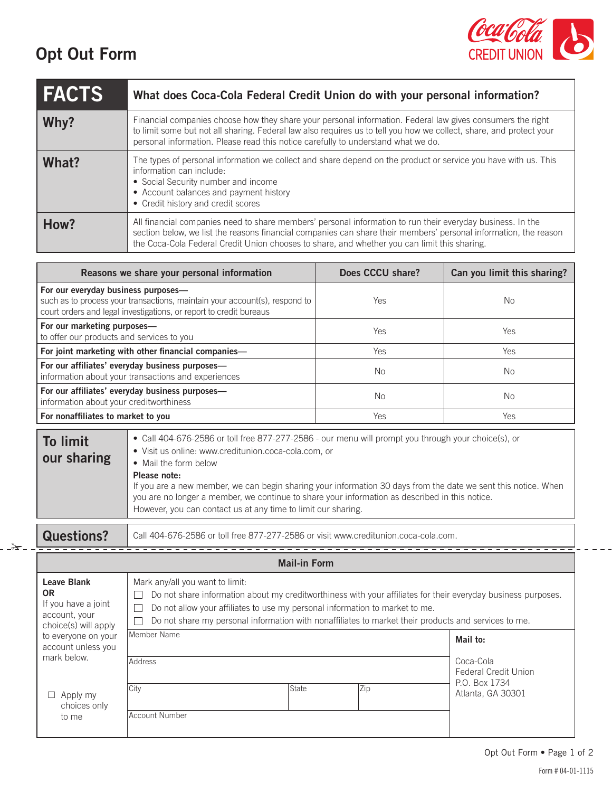## **Opt Out Form**



| <b>FACTS</b> | What does Coca-Cola Federal Credit Union do with your personal information?                                                                                                                                                                                                                                                    |
|--------------|--------------------------------------------------------------------------------------------------------------------------------------------------------------------------------------------------------------------------------------------------------------------------------------------------------------------------------|
| Why?         | Financial companies choose how they share your personal information. Federal law gives consumers the right<br>to limit some but not all sharing. Federal law also requires us to tell you how we collect, share, and protect your<br>personal information. Please read this notice carefully to understand what we do.         |
| What?        | The types of personal information we collect and share depend on the product or service you have with us. This<br>information can include:<br>• Social Security number and income<br>• Account balances and payment history<br>• Credit history and credit scores                                                              |
| How?         | All financial companies need to share members' personal information to run their everyday business. In the<br>section below, we list the reasons financial companies can share their members' personal information, the reason<br>the Coca-Cola Federal Credit Union chooses to share, and whether you can limit this sharing. |

| Reasons we share your personal information                                                                                                                                              |                                                                                                                                                                   | Does CCCU share? | Can you limit this sharing? |
|-----------------------------------------------------------------------------------------------------------------------------------------------------------------------------------------|-------------------------------------------------------------------------------------------------------------------------------------------------------------------|------------------|-----------------------------|
| For our everyday business purposes-<br>such as to process your transactions, maintain your account(s), respond to<br>court orders and legal investigations, or report to credit bureaus |                                                                                                                                                                   | <b>Yes</b>       | No.                         |
| For our marketing purposes-<br>to offer our products and services to you                                                                                                                |                                                                                                                                                                   | Yes              | Yes                         |
| For joint marketing with other financial companies-                                                                                                                                     |                                                                                                                                                                   | Yes              | Yes                         |
| For our affiliates' everyday business purposes-<br>information about your transactions and experiences                                                                                  |                                                                                                                                                                   | No.              | No.                         |
| For our affiliates' everyday business purposes-<br>information about your creditworthiness                                                                                              |                                                                                                                                                                   | No.              | No.                         |
| For nonaffiliates to market to you                                                                                                                                                      |                                                                                                                                                                   | Yes              | Yes                         |
| <b>To limit</b>                                                                                                                                                                         | • Call 404-676-2586 or toll free 877-277-2586 - our menu will prompt you through your choice(s), or<br>$\bullet$ Vioitus opling ususuarediturion acco colo com or |                  |                             |

|             | Please note:<br>If you are a new member, we can begin sharing your information 30 days from the date we sent this notice. When<br>you are no longer a member, we continue to share your information as described in this notice.<br>However, you can contact us at any time to limit our sharing. |
|-------------|---------------------------------------------------------------------------------------------------------------------------------------------------------------------------------------------------------------------------------------------------------------------------------------------------|
| our sharing | • Visit us online: www.creditunion.coca-cola.com, or<br>• Mail the form below                                                                                                                                                                                                                     |
| TO TITIL    |                                                                                                                                                                                                                                                                                                   |

✁

**Questions?** Call 404-676-2586 or toll free 877-277-2586 or visit www.creditunion.coca-cola.com.

| <b>Mail-in Form</b>                                                                             |                                                                                                                                                                                                                                                                                                                                          |       |                                                      |                                    |  |
|-------------------------------------------------------------------------------------------------|------------------------------------------------------------------------------------------------------------------------------------------------------------------------------------------------------------------------------------------------------------------------------------------------------------------------------------------|-------|------------------------------------------------------|------------------------------------|--|
| <b>Leave Blank</b><br><b>OR</b><br>If you have a joint<br>account, your<br>choice(s) will apply | Mark any/all you want to limit.<br>Do not share information about my creditworthiness with your affiliates for their everyday business purposes.<br>Do not allow your affiliates to use my personal information to market to me.<br>Do not share my personal information with nonaffiliates to market their products and services to me. |       |                                                      |                                    |  |
| to everyone on your<br>account unless you<br>mark below.                                        | Member Name<br>Address                                                                                                                                                                                                                                                                                                                   |       | Mail to:<br>Coca-Cola<br><b>Federal Credit Union</b> |                                    |  |
| Apply my<br>choices only<br>to me                                                               | City<br><b>Account Number</b>                                                                                                                                                                                                                                                                                                            | State | Zip                                                  | P.O. Box 1734<br>Atlanta, GA 30301 |  |